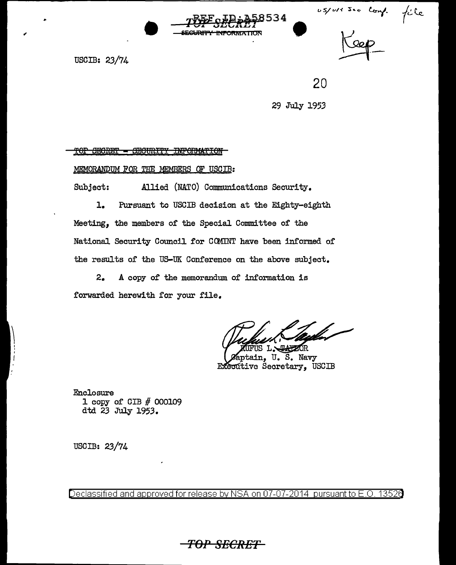ussuresse comp. file



USCIB: 23/74

20

29 July 1953

TOP SECRET - SECURITY INFORMATION

MEMORANDUM FOR THE MEMBERS OF USCIB:

Subject: Allied (NATO) Communications Security.

**l.** Pursuant to USCIB decision at the Eighty-eighth Meeting, the members of the Special Committee of the National Security Council for COMINT have been informed of the results of the US-UK Conference on the above subject.

2. A copy of the memorandum. of information is forwarded herewith for your file.

US L. REPEAR

aptain, U.S. Navy Executive Secretary, USCIB

Enclosure 1 copy of GIB *#* 000109 dtd 23 July 1953.

USCIB: 23/74

 $\vert$ I ' I

Declassified and approved for release by NSA on 07-07-2014 pursuant to E.O. 13526

*TOP SECRET*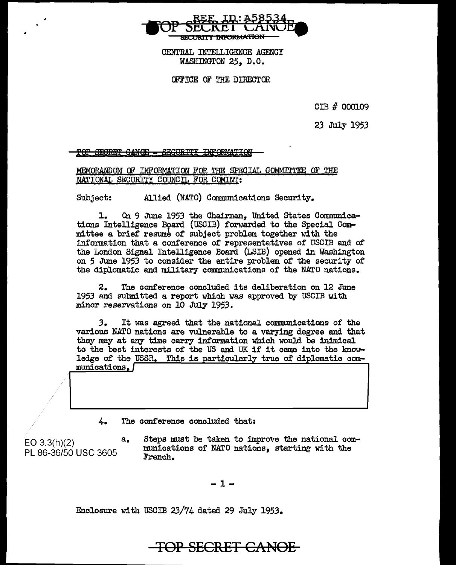

CENTRAL INTELLIGENCE AGENCY WASHINGTON 25, D.C.

OFFICE OF THE DIRECTOR

GIB # 000109

23 July 1953

'SEGRET GANOE - SEGURITY INFORMATION

MEMORANDUM OF INFORMATION FOR THE SPECIAL COMMITTEE OF THE NATIONAL SECURITY COUNCIL FOR COMINT:

Subject: Allied (NATO) Communications Security.

1. On 9 June 1953 the Chairman, United States Communications Intelligence Board (USCIB) forwarded to the Special Committee a brief resume of subject problem together with the information that a conference of representatives of USCIB and of the London Signal Intelligence Board (LSIB) opened in Washington on *5* June 1953 to consider the entire problem of the security of the diplomatic and military communications of the NATO nations.

2. The conference concluded its deliberation on 12 June 1953 and submitted a report which was approved by USCIB with minor reservations on 10 July 1953.

*3.* It was agreed that the national communications of the various NATO nations are vulnerable to a varying degree and that they may at any time carry information which would be inimical to the best interests of the US and UK if it came into the knowledge of the USSR. This is particularly true of diplomatic communications

4. The conference concluded that:

EO 3.3(h)(2) PL 86-36/50 USC 3605

a. Steps must be taken to improve the national communications of NATO nations, starting with the French.

-1-

Enclosure with USCIB 23/74 dated 29 July 1953.

## **TOP** SECR£T **Ci'\NOE**